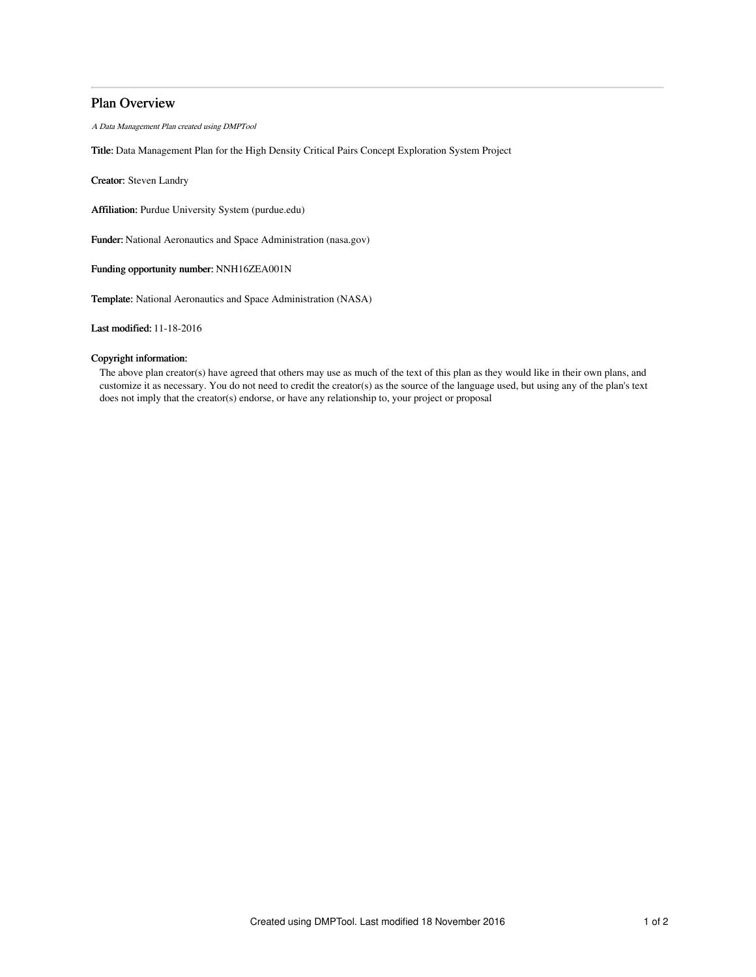# Plan Overview

A Data Management Plan created using DMPTool

Title: Data Management Plan for the High Density Critical Pairs Concept Exploration System Project

Creator: Steven Landry

Affiliation: Purdue University System (purdue.edu)

Funder: National Aeronautics and Space Administration (nasa.gov)

Funding opportunity number: NNH16ZEA001N

Template: National Aeronautics and Space Administration (NASA)

Last modified: 11-18-2016

# Copyright information:

The above plan creator(s) have agreed that others may use as much of the text of this plan as they would like in their own plans, and customize it as necessary. You do not need to credit the creator(s) as the source of the language used, but using any of the plan's text does not imply that the creator(s) endorse, or have any relationship to, your project or proposal